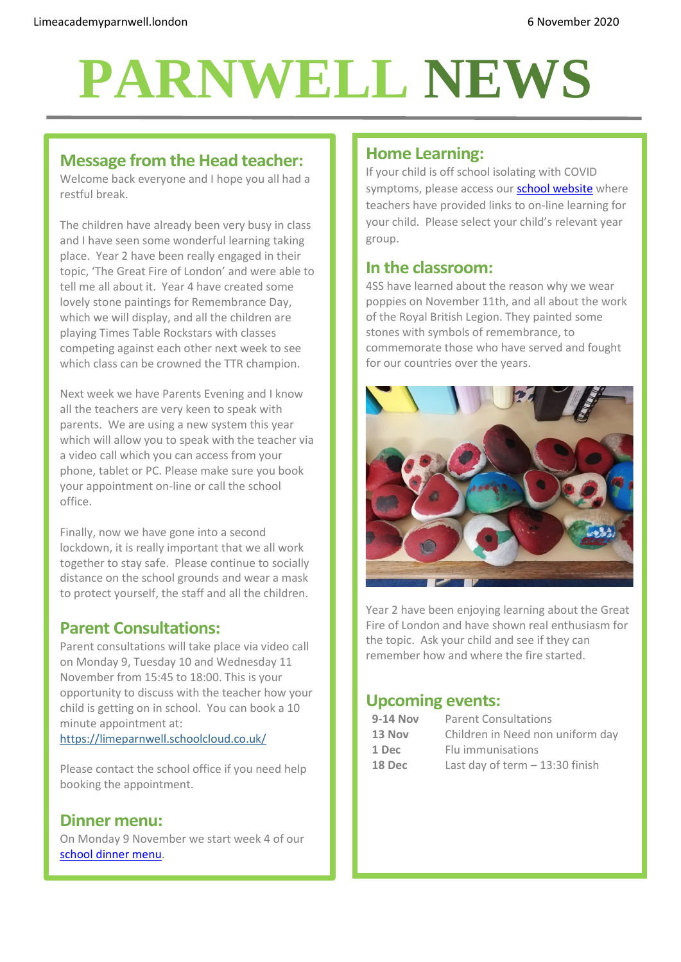# **PARNWELL NEWS**

#### **Message from the Head teacher:**

Welcome back everyone and I hope you all had a restful break.

The children have already been very busy in class and I have seen some wonderful learning taking place. Year 2 have been really engaged in their topic, 'The Great Fire of London' and were able to tell me all about it. Year 4 have created some lovely stone paintings for Remembrance Day, which we will display, and all the children are playing Times Table Rockstars with classes competing against each other next week to see which class can be crowned the TTR champion.

Next week we have Parents Evening and I know all the teachers are very keen to speak with parents. We are using a new system this year which will allow you to speak with the teacher via a video call which you can access from your phone, tablet or PC. Please make sure you book your appointment on-line or call the school office.

Finally, now we have gone into a second lockdown, it is really important that we all work together to stay safe. Please continue to socially distance on the school grounds and wear a mask to protect yourself, the staff and all the children.

#### **Parent Consultations:**

Parent consultations will take place via video call on Monday 9, Tuesday 10 and Wednesday 11 November from 15:45 to 18:00. This is your opportunity to discuss with the teacher how your child is getting on in school. You can book a 10 minute appointment at: <https://limeparnwell.schoolcloud.co.uk/>

Please contact the school office if you need help booking the appointment.

#### **Dinner menu:**

On Monday 9 November we start week 4 of our [school dinner menu.](http://limeacademyparnwell.london/media/3932/dinner-menu-2020-09-18.pdf)

### **Home Learning:**

If your child is off school isolating with COVID symptoms, please access our **school website** where teachers have provided links to on-line learning for your child. Please select your child's relevant year group.

#### **In the classroom:**

4SS have learned about the reason why we wear poppies on November 11th, and all about the work of the Royal British Legion. They painted some stones with symbols of remembrance, to commemorate those who have served and fought for our countries over the years.



Year 2 have been enjoying learning about the Great Fire of London and have shown real enthusiasm for the topic. Ask your child and see if they can remember how and where the fire started.

# **Upcoming events:**

| <b>Parent Consultations</b>      |
|----------------------------------|
| Children in Need non uniform day |
| Flu immunisations                |
| Last day of term $-13:30$ finish |
|                                  |